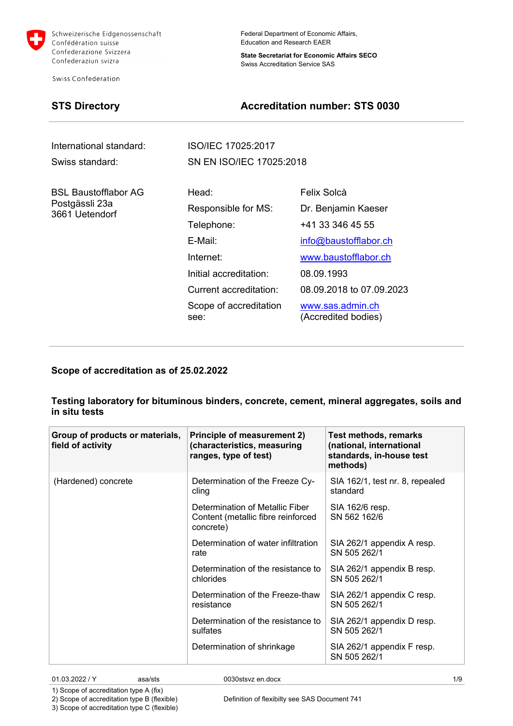

Swiss Confederation

Federal Department of Economic Affairs, Education and Research EAER

**State Secretariat for Economic Affairs SECO** Swiss Accreditation Service SAS

## **STS Directory Accreditation number: STS 0030**

| International standard:                                  | ISO/IEC 17025:2017                                                                                                                                       |                                                                                                                                                                                              |
|----------------------------------------------------------|----------------------------------------------------------------------------------------------------------------------------------------------------------|----------------------------------------------------------------------------------------------------------------------------------------------------------------------------------------------|
| Swiss standard:                                          | SN EN ISO/IEC 17025:2018                                                                                                                                 |                                                                                                                                                                                              |
| BSL Baustofflabor AG<br>Postgässli 23a<br>3661 Uetendorf | Head:<br>Responsible for MS:<br>Telephone:<br>E-Mail:<br>Internet:<br>Initial accreditation:<br>Current accreditation:<br>Scope of accreditation<br>see: | Felix Solcà<br>Dr. Benjamin Kaeser<br>+41 33 346 45 55<br>info@baustofflabor.ch<br>www.baustofflabor.ch<br>08.09.1993<br>08.09.2018 to 07.09.2023<br>www.sas.admin.ch<br>(Accredited bodies) |

**Scope of accreditation as of 25.02.2022**

## **Testing laboratory for bituminous binders, concrete, cement, mineral aggregates, soils and in situ tests**

| Group of products or materials,<br>field of activity | <b>Principle of measurement 2)</b><br>(characteristics, measuring<br>ranges, type of test) | <b>Test methods, remarks</b><br>(national, international<br>standards, in-house test<br>methods) |
|------------------------------------------------------|--------------------------------------------------------------------------------------------|--------------------------------------------------------------------------------------------------|
| (Hardened) concrete                                  | Determination of the Freeze Cy-<br>cling                                                   | SIA 162/1, test nr. 8, repealed<br>standard                                                      |
|                                                      | Determination of Metallic Fiber<br>Content (metallic fibre reinforced<br>concrete)         | SIA 162/6 resp.<br>SN 562 162/6                                                                  |
|                                                      | Determination of water infiltration<br>rate                                                | SIA 262/1 appendix A resp.<br>SN 505 262/1                                                       |
|                                                      | Determination of the resistance to<br>chlorides                                            | SIA 262/1 appendix B resp.<br>SN 505 262/1                                                       |
|                                                      | Determination of the Freeze-thaw<br>resistance                                             | SIA 262/1 appendix C resp.<br>SN 505 262/1                                                       |
|                                                      | Determination of the resistance to<br>sulfates                                             | SIA 262/1 appendix D resp.<br>SN 505 262/1                                                       |
|                                                      | Determination of shrinkage                                                                 | SIA 262/1 appendix F resp.<br>SN 505 262/1                                                       |

01.03.2022 / Y asa/sts 0030stsvz en.docx 1/9

1) Scope of accreditation type A (fix) 2) Scope of accreditation type B (flexible)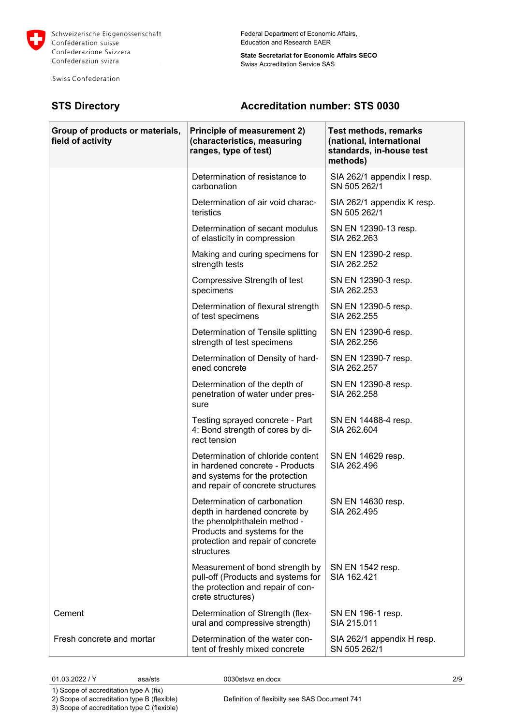

Swiss Confederation

## Federal Department of Economic Affairs, Education and Research EAER

**State Secretariat for Economic Affairs SECO** Swiss Accreditation Service SAS

## **STS Directory Accreditation number: STS 0030**

| Group of products or materials,<br>field of activity | Principle of measurement 2)<br>(characteristics, measuring<br>ranges, type of test)                                                                                              | <b>Test methods, remarks</b><br>(national, international<br>standards, in-house test<br>methods) |
|------------------------------------------------------|----------------------------------------------------------------------------------------------------------------------------------------------------------------------------------|--------------------------------------------------------------------------------------------------|
|                                                      | Determination of resistance to<br>carbonation                                                                                                                                    | SIA 262/1 appendix I resp.<br>SN 505 262/1                                                       |
|                                                      | Determination of air void charac-<br>teristics                                                                                                                                   | SIA 262/1 appendix K resp.<br>SN 505 262/1                                                       |
|                                                      | Determination of secant modulus<br>of elasticity in compression                                                                                                                  | SN EN 12390-13 resp.<br>SIA 262,263                                                              |
|                                                      | Making and curing specimens for<br>strength tests                                                                                                                                | SN EN 12390-2 resp.<br>SIA 262.252                                                               |
|                                                      | Compressive Strength of test<br>specimens                                                                                                                                        | SN EN 12390-3 resp.<br>SIA 262.253                                                               |
|                                                      | Determination of flexural strength<br>of test specimens                                                                                                                          | SN EN 12390-5 resp.<br>SIA 262.255                                                               |
|                                                      | Determination of Tensile splitting<br>strength of test specimens                                                                                                                 | SN EN 12390-6 resp.<br>SIA 262.256                                                               |
|                                                      | Determination of Density of hard-<br>ened concrete                                                                                                                               | SN EN 12390-7 resp.<br>SIA 262.257                                                               |
|                                                      | Determination of the depth of<br>penetration of water under pres-<br>sure                                                                                                        | SN EN 12390-8 resp.<br>SIA 262.258                                                               |
|                                                      | Testing sprayed concrete - Part<br>4: Bond strength of cores by di-<br>rect tension                                                                                              | SN EN 14488-4 resp.<br>SIA 262.604                                                               |
|                                                      | Determination of chloride content<br>in hardened concrete - Products<br>and systems for the protection<br>and repair of concrete structures                                      | SN EN 14629 resp.<br>SIA 262.496                                                                 |
|                                                      | Determination of carbonation<br>depth in hardened concrete by<br>the phenolphthalein method -<br>Products and systems for the<br>protection and repair of concrete<br>structures | SN EN 14630 resp.<br>SIA 262.495                                                                 |
|                                                      | Measurement of bond strength by<br>pull-off (Products and systems for<br>the protection and repair of con-<br>crete structures)                                                  | SN EN 1542 resp.<br>SIA 162.421                                                                  |
| Cement                                               | Determination of Strength (flex-<br>ural and compressive strength)                                                                                                               | SN EN 196-1 resp.<br>SIA 215.011                                                                 |
| Fresh concrete and mortar                            | Determination of the water con-<br>tent of freshly mixed concrete                                                                                                                | SIA 262/1 appendix H resp.<br>SN 505 262/1                                                       |

01.03.2022 / Y asa/sts 0030stsvz en.docx 2/9

1) Scope of accreditation type A (fix) 2) Scope of accreditation type B (flexible)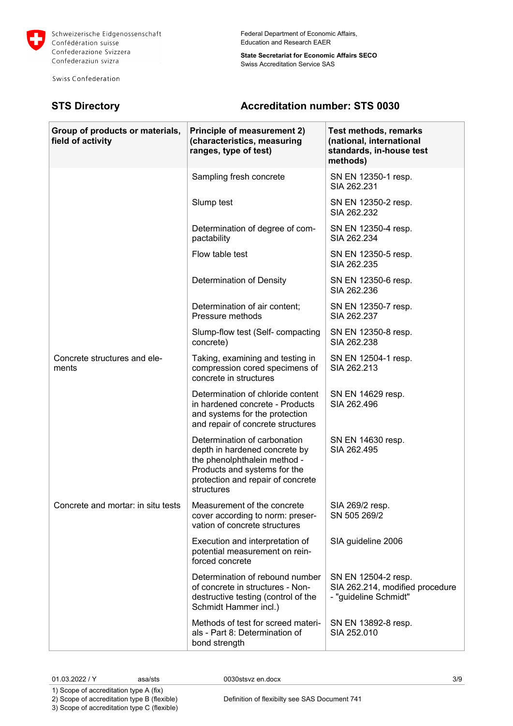

Swiss Confederation

Federal Department of Economic Affairs, Education and Research EAER

**State Secretariat for Economic Affairs SECO** Swiss Accreditation Service SAS

# **STS Directory Accreditation number: STS 0030**

| Group of products or materials,<br>field of activity | Principle of measurement 2)<br>(characteristics, measuring<br>ranges, type of test)                                                                                              | <b>Test methods, remarks</b><br>(national, international<br>standards, in-house test<br>methods) |
|------------------------------------------------------|----------------------------------------------------------------------------------------------------------------------------------------------------------------------------------|--------------------------------------------------------------------------------------------------|
|                                                      | Sampling fresh concrete                                                                                                                                                          | SN EN 12350-1 resp.<br>SIA 262.231                                                               |
|                                                      | Slump test                                                                                                                                                                       | SN EN 12350-2 resp.<br>SIA 262.232                                                               |
|                                                      | Determination of degree of com-<br>pactability                                                                                                                                   | SN EN 12350-4 resp.<br>SIA 262.234                                                               |
|                                                      | Flow table test                                                                                                                                                                  | SN EN 12350-5 resp.<br>SIA 262.235                                                               |
|                                                      | Determination of Density                                                                                                                                                         | SN EN 12350-6 resp.<br>SIA 262.236                                                               |
|                                                      | Determination of air content;<br>Pressure methods                                                                                                                                | SN EN 12350-7 resp.<br>SIA 262.237                                                               |
|                                                      | Slump-flow test (Self- compacting<br>concrete)                                                                                                                                   | SN EN 12350-8 resp.<br>SIA 262.238                                                               |
| Concrete structures and ele-<br>ments                | Taking, examining and testing in<br>compression cored specimens of<br>concrete in structures                                                                                     | SN EN 12504-1 resp.<br>SIA 262.213                                                               |
|                                                      | Determination of chloride content<br>in hardened concrete - Products<br>and systems for the protection<br>and repair of concrete structures                                      | SN EN 14629 resp.<br>SIA 262.496                                                                 |
|                                                      | Determination of carbonation<br>depth in hardened concrete by<br>the phenolphthalein method -<br>Products and systems for the<br>protection and repair of concrete<br>structures | SN EN 14630 resp.<br>SIA 262.495                                                                 |
| Concrete and mortar: in situ tests                   | Measurement of the concrete<br>cover according to norm: preser-<br>vation of concrete structures                                                                                 | SIA 269/2 resp.<br>SN 505 269/2                                                                  |
|                                                      | Execution and interpretation of<br>potential measurement on rein-<br>forced concrete                                                                                             | SIA guideline 2006                                                                               |
|                                                      | Determination of rebound number<br>of concrete in structures - Non-<br>destructive testing (control of the<br>Schmidt Hammer incl.)                                              | SN EN 12504-2 resp.<br>SIA 262.214, modified procedure<br>- "guideline Schmidt"                  |
|                                                      | Methods of test for screed materi-<br>als - Part 8: Determination of<br>bond strength                                                                                            | SN EN 13892-8 resp.<br>SIA 252.010                                                               |

01.03.2022 / Y asa/sts 0030stsvz en.docx 3/9

1) Scope of accreditation type A (fix)

2) Scope of accreditation type B (flexible)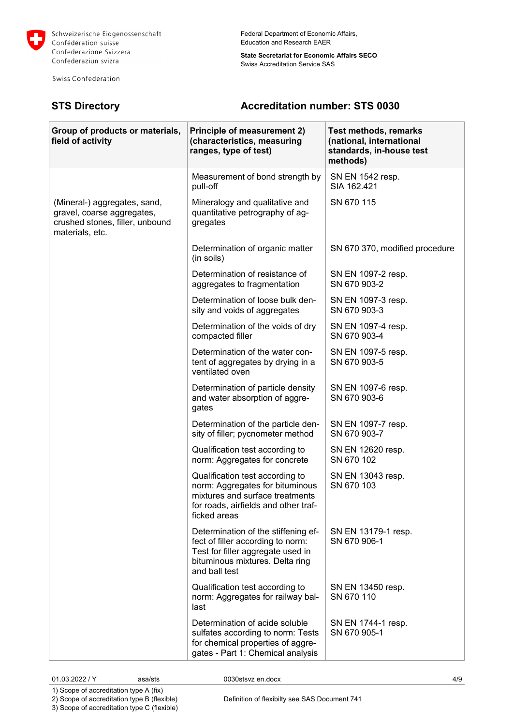

Swiss Confederation

## Federal Department of Economic Affairs, Education and Research EAER

**State Secretariat for Economic Affairs SECO** Swiss Accreditation Service SAS

## **STS Directory Accreditation number: STS 0030**

| Group of products or materials,<br>field of activity                                                             | Principle of measurement 2)<br>(characteristics, measuring<br>ranges, type of test)                                                                               | Test methods, remarks<br>(national, international<br>standards, in-house test<br>methods) |
|------------------------------------------------------------------------------------------------------------------|-------------------------------------------------------------------------------------------------------------------------------------------------------------------|-------------------------------------------------------------------------------------------|
|                                                                                                                  | Measurement of bond strength by<br>pull-off                                                                                                                       | SN EN 1542 resp.<br>SIA 162.421                                                           |
| (Mineral-) aggregates, sand,<br>gravel, coarse aggregates,<br>crushed stones, filler, unbound<br>materials, etc. | Mineralogy and qualitative and<br>quantitative petrography of ag-<br>gregates                                                                                     | SN 670 115                                                                                |
|                                                                                                                  | Determination of organic matter<br>(in soils)                                                                                                                     | SN 670 370, modified procedure                                                            |
|                                                                                                                  | Determination of resistance of<br>aggregates to fragmentation                                                                                                     | SN EN 1097-2 resp.<br>SN 670 903-2                                                        |
|                                                                                                                  | Determination of loose bulk den-<br>sity and voids of aggregates                                                                                                  | SN EN 1097-3 resp.<br>SN 670 903-3                                                        |
|                                                                                                                  | Determination of the voids of dry<br>compacted filler                                                                                                             | SN EN 1097-4 resp.<br>SN 670 903-4                                                        |
|                                                                                                                  | Determination of the water con-<br>tent of aggregates by drying in a<br>ventilated oven                                                                           | SN EN 1097-5 resp.<br>SN 670 903-5                                                        |
|                                                                                                                  | Determination of particle density<br>and water absorption of aggre-<br>gates                                                                                      | SN EN 1097-6 resp.<br>SN 670 903-6                                                        |
|                                                                                                                  | Determination of the particle den-<br>sity of filler; pycnometer method                                                                                           | SN EN 1097-7 resp.<br>SN 670 903-7                                                        |
|                                                                                                                  | Qualification test according to<br>norm: Aggregates for concrete                                                                                                  | SN EN 12620 resp.<br>SN 670 102                                                           |
|                                                                                                                  | Qualification test according to<br>norm: Aggregates for bituminous<br>mixtures and surface treatments<br>for roads, airfields and other traf-<br>ficked areas     | SN EN 13043 resp.<br>SN 670 103                                                           |
|                                                                                                                  | Determination of the stiffening ef-<br>fect of filler according to norm:<br>Test for filler aggregate used in<br>bituminous mixtures. Delta ring<br>and ball test | SN EN 13179-1 resp.<br>SN 670 906-1                                                       |
|                                                                                                                  | Qualification test according to<br>norm: Aggregates for railway bal-<br>last                                                                                      | SN EN 13450 resp.<br>SN 670 110                                                           |
|                                                                                                                  | Determination of acide soluble<br>sulfates according to norm: Tests<br>for chemical properties of aggre-<br>gates - Part 1: Chemical analysis                     | SN EN 1744-1 resp.<br>SN 670 905-1                                                        |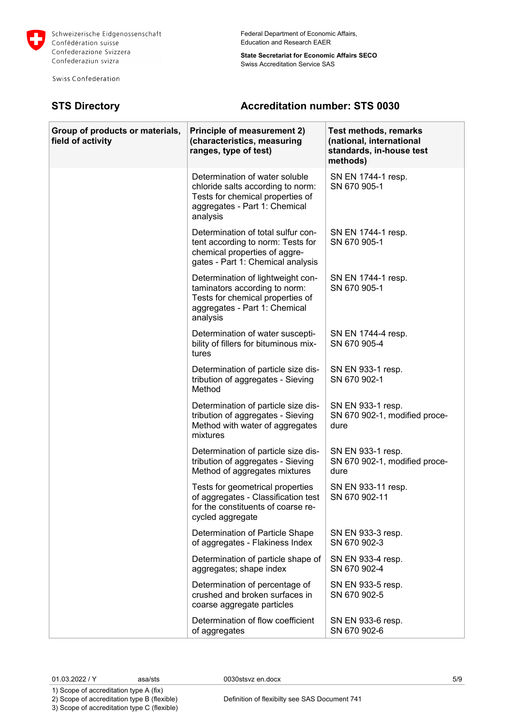

Swiss Confederation

## Federal Department of Economic Affairs, Education and Research EAER

**State Secretariat for Economic Affairs SECO** Swiss Accreditation Service SAS

# **STS Directory Accreditation number: STS 0030**

| Group of products or materials,<br>field of activity | Principle of measurement 2)<br>(characteristics, measuring<br>ranges, type of test)                                                                  | <b>Test methods, remarks</b><br>(national, international<br>standards, in-house test<br>methods) |
|------------------------------------------------------|------------------------------------------------------------------------------------------------------------------------------------------------------|--------------------------------------------------------------------------------------------------|
|                                                      | Determination of water soluble<br>chloride salts according to norm:<br>Tests for chemical properties of<br>aggregates - Part 1: Chemical<br>analysis | SN EN 1744-1 resp.<br>SN 670 905-1                                                               |
|                                                      | Determination of total sulfur con-<br>tent according to norm: Tests for<br>chemical properties of aggre-<br>gates - Part 1: Chemical analysis        | SN EN 1744-1 resp.<br>SN 670 905-1                                                               |
|                                                      | Determination of lightweight con-<br>taminators according to norm:<br>Tests for chemical properties of<br>aggregates - Part 1: Chemical<br>analysis  | SN EN 1744-1 resp.<br>SN 670 905-1                                                               |
|                                                      | Determination of water suscepti-<br>bility of fillers for bituminous mix-<br>tures                                                                   | SN EN 1744-4 resp.<br>SN 670 905-4                                                               |
|                                                      | Determination of particle size dis-<br>tribution of aggregates - Sieving<br>Method                                                                   | SN EN 933-1 resp.<br>SN 670 902-1                                                                |
|                                                      | Determination of particle size dis-<br>tribution of aggregates - Sieving<br>Method with water of aggregates<br>mixtures                              | SN EN 933-1 resp.<br>SN 670 902-1, modified proce-<br>dure                                       |
|                                                      | Determination of particle size dis-<br>tribution of aggregates - Sieving<br>Method of aggregates mixtures                                            | SN EN 933-1 resp.<br>SN 670 902-1, modified proce-<br>dure                                       |
|                                                      | Tests for geometrical properties<br>of aggregates - Classification test<br>for the constituents of coarse re-<br>cycled aggregate                    | SN EN 933-11 resp.<br>SN 670 902-11                                                              |
|                                                      | Determination of Particle Shape<br>of aggregates - Flakiness Index                                                                                   | SN EN 933-3 resp.<br>SN 670 902-3                                                                |
|                                                      | Determination of particle shape of<br>aggregates; shape index                                                                                        | SN EN 933-4 resp.<br>SN 670 902-4                                                                |
|                                                      | Determination of percentage of<br>crushed and broken surfaces in<br>coarse aggregate particles                                                       | SN EN 933-5 resp.<br>SN 670 902-5                                                                |
|                                                      | Determination of flow coefficient<br>of aggregates                                                                                                   | SN EN 933-6 resp.<br>SN 670 902-6                                                                |

1) Scope of accreditation type A (fix) 2) Scope of accreditation type B (flexible)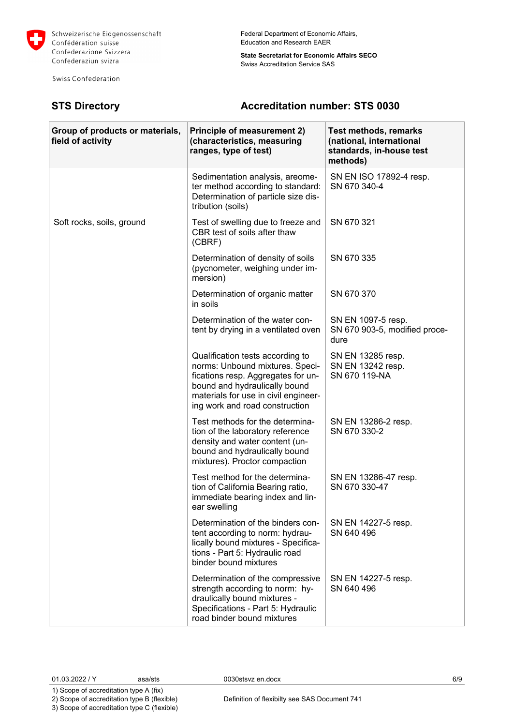

Swiss Confederation

**State Secretariat for Economic Affairs SECO** Swiss Accreditation Service SAS

## **STS Directory Accreditation number: STS 0030**

| Group of products or materials,<br>field of activity | <b>Principle of measurement 2)</b><br>(characteristics, measuring<br>ranges, type of test)                                                                                                                           | <b>Test methods, remarks</b><br>(national, international<br>standards, in-house test<br>methods) |
|------------------------------------------------------|----------------------------------------------------------------------------------------------------------------------------------------------------------------------------------------------------------------------|--------------------------------------------------------------------------------------------------|
|                                                      | Sedimentation analysis, areome-<br>ter method according to standard:<br>Determination of particle size dis-<br>tribution (soils)                                                                                     | SN EN ISO 17892-4 resp.<br>SN 670 340-4                                                          |
| Soft rocks, soils, ground                            | Test of swelling due to freeze and<br>CBR test of soils after thaw<br>(CBRF)                                                                                                                                         | SN 670 321                                                                                       |
|                                                      | Determination of density of soils<br>(pycnometer, weighing under im-<br>mersion)                                                                                                                                     | SN 670 335                                                                                       |
|                                                      | Determination of organic matter<br>in soils                                                                                                                                                                          | SN 670 370                                                                                       |
|                                                      | Determination of the water con-<br>tent by drying in a ventilated oven                                                                                                                                               | SN EN 1097-5 resp.<br>SN 670 903-5, modified proce-<br>dure                                      |
|                                                      | Qualification tests according to<br>norms: Unbound mixtures. Speci-<br>fications resp. Aggregates for un-<br>bound and hydraulically bound<br>materials for use in civil engineer-<br>ing work and road construction | SN EN 13285 resp.<br>SN EN 13242 resp.<br>SN 670 119-NA                                          |
|                                                      | Test methods for the determina-<br>tion of the laboratory reference<br>density and water content (un-<br>bound and hydraulically bound<br>mixtures). Proctor compaction                                              | SN EN 13286-2 resp.<br>SN 670 330-2                                                              |
|                                                      | Test method for the determina-<br>tion of California Bearing ratio,<br>immediate bearing index and lin-<br>ear swelling                                                                                              | SN EN 13286-47 resp.<br>SN 670 330-47                                                            |
|                                                      | Determination of the binders con-<br>tent according to norm: hydrau-<br>lically bound mixtures - Specifica-<br>tions - Part 5: Hydraulic road<br>binder bound mixtures                                               | SN EN 14227-5 resp.<br>SN 640 496                                                                |
|                                                      | Determination of the compressive<br>strength according to norm: hy-<br>draulically bound mixtures -<br>Specifications - Part 5: Hydraulic<br>road binder bound mixtures                                              | SN EN 14227-5 resp.<br>SN 640 496                                                                |

01.03.2022 / Y asa/sts 0030stsvz en.docx 6/9

1) Scope of accreditation type A (fix) 2) Scope of accreditation type B (flexible)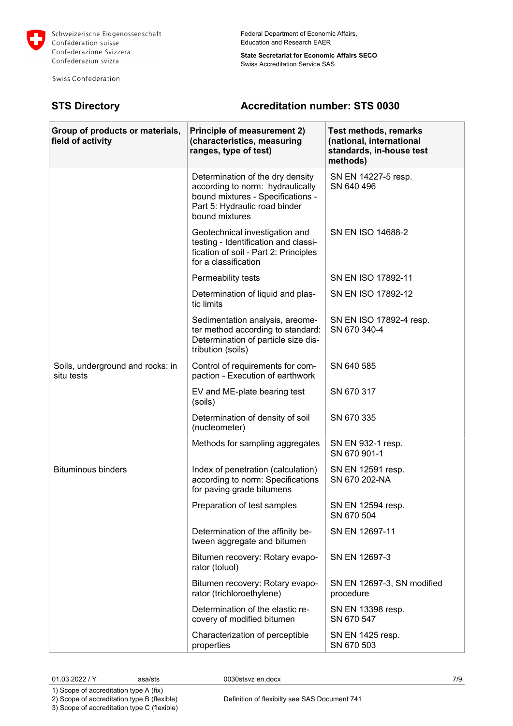

Swiss Confederation

**State Secretariat for Economic Affairs SECO** Swiss Accreditation Service SAS

# **STS Directory Accreditation number: STS 0030**

| Group of products or materials,<br>field of activity | <b>Principle of measurement 2)</b><br>(characteristics, measuring<br>ranges, type of test)                                                                   | <b>Test methods, remarks</b><br>(national, international<br>standards, in-house test<br>methods) |
|------------------------------------------------------|--------------------------------------------------------------------------------------------------------------------------------------------------------------|--------------------------------------------------------------------------------------------------|
|                                                      | Determination of the dry density<br>according to norm: hydraulically<br>bound mixtures - Specifications -<br>Part 5: Hydraulic road binder<br>bound mixtures | SN EN 14227-5 resp.<br>SN 640 496                                                                |
|                                                      | Geotechnical investigation and<br>testing - Identification and classi-<br>fication of soil - Part 2: Principles<br>for a classification                      | SN EN ISO 14688-2                                                                                |
|                                                      | Permeability tests                                                                                                                                           | SN EN ISO 17892-11                                                                               |
|                                                      | Determination of liquid and plas-<br>tic limits                                                                                                              | SN EN ISO 17892-12                                                                               |
|                                                      | Sedimentation analysis, areome-<br>ter method according to standard:<br>Determination of particle size dis-<br>tribution (soils)                             | SN EN ISO 17892-4 resp.<br>SN 670 340-4                                                          |
| Soils, underground and rocks: in<br>situ tests       | Control of requirements for com-<br>paction - Execution of earthwork                                                                                         | SN 640 585                                                                                       |
|                                                      | EV and ME-plate bearing test<br>(soils)                                                                                                                      | SN 670 317                                                                                       |
|                                                      | Determination of density of soil<br>(nucleometer)                                                                                                            | SN 670 335                                                                                       |
|                                                      | Methods for sampling aggregates                                                                                                                              | SN EN 932-1 resp.<br>SN 670 901-1                                                                |
| <b>Bituminous binders</b>                            | Index of penetration (calculation)<br>according to norm: Specifications<br>for paving grade bitumens                                                         | SN EN 12591 resp.<br>SN 670 202-NA                                                               |
|                                                      | Preparation of test samples                                                                                                                                  | SN EN 12594 resp.<br>SN 670 504                                                                  |
|                                                      | Determination of the affinity be-<br>tween aggregate and bitumen                                                                                             | SN EN 12697-11                                                                                   |
|                                                      | Bitumen recovery: Rotary evapo-<br>rator (toluol)                                                                                                            | SN EN 12697-3                                                                                    |
|                                                      | Bitumen recovery: Rotary evapo-<br>rator (trichloroethylene)                                                                                                 | SN EN 12697-3, SN modified<br>procedure                                                          |
|                                                      | Determination of the elastic re-<br>covery of modified bitumen                                                                                               | SN EN 13398 resp.<br>SN 670 547                                                                  |
|                                                      | Characterization of perceptible<br>properties                                                                                                                | SN EN 1425 resp.<br>SN 670 503                                                                   |

01.03.2022 / Y asa/sts 0030stsvz en.docx 7/9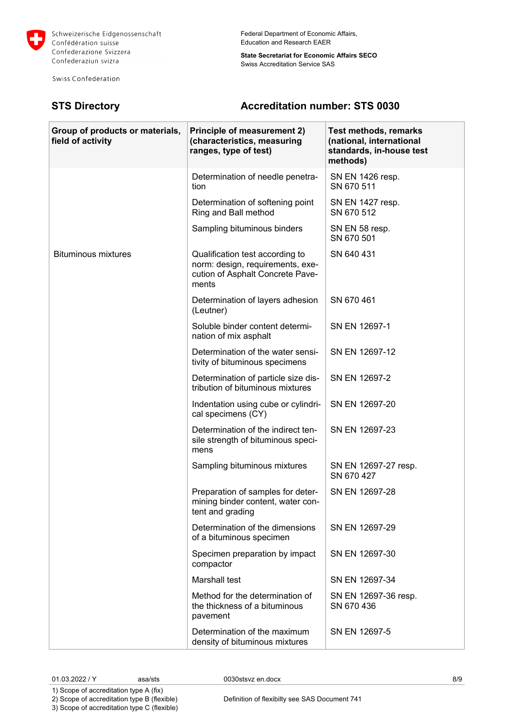

Swiss Confederation

Federal Department of Economic Affairs, Education and Research EAER

**State Secretariat for Economic Affairs SECO** Swiss Accreditation Service SAS

# **STS Directory Accreditation number: STS 0030**

| Group of products or materials,<br>field of activity | <b>Principle of measurement 2)</b><br>(characteristics, measuring<br>ranges, type of test)                       | <b>Test methods, remarks</b><br>(national, international<br>standards, in-house test<br>methods) |
|------------------------------------------------------|------------------------------------------------------------------------------------------------------------------|--------------------------------------------------------------------------------------------------|
|                                                      | Determination of needle penetra-<br>tion                                                                         | SN EN 1426 resp.<br>SN 670 511                                                                   |
|                                                      | Determination of softening point<br>Ring and Ball method                                                         | SN EN 1427 resp.<br>SN 670 512                                                                   |
|                                                      | Sampling bituminous binders                                                                                      | SN EN 58 resp.<br>SN 670 501                                                                     |
| <b>Bituminous mixtures</b>                           | Qualification test according to<br>norm: design, requirements, exe-<br>cution of Asphalt Concrete Pave-<br>ments | SN 640 431                                                                                       |
|                                                      | Determination of layers adhesion<br>(Leutner)                                                                    | SN 670 461                                                                                       |
|                                                      | Soluble binder content determi-<br>nation of mix asphalt                                                         | SN EN 12697-1                                                                                    |
|                                                      | Determination of the water sensi-<br>tivity of bituminous specimens                                              | SN EN 12697-12                                                                                   |
|                                                      | Determination of particle size dis-<br>tribution of bituminous mixtures                                          | SN EN 12697-2                                                                                    |
|                                                      | Indentation using cube or cylindri-<br>cal specimens (CY)                                                        | SN EN 12697-20                                                                                   |
|                                                      | Determination of the indirect ten-<br>sile strength of bituminous speci-<br>mens                                 | SN EN 12697-23                                                                                   |
|                                                      | Sampling bituminous mixtures                                                                                     | SN EN 12697-27 resp.<br>SN 670 427                                                               |
|                                                      | Preparation of samples for deter-<br>mining binder content, water con-<br>tent and grading                       | SN EN 12697-28                                                                                   |
|                                                      | Determination of the dimensions<br>of a bituminous specimen                                                      | SN EN 12697-29                                                                                   |
|                                                      | Specimen preparation by impact<br>compactor                                                                      | SN EN 12697-30                                                                                   |
|                                                      | <b>Marshall test</b>                                                                                             | SN EN 12697-34                                                                                   |
|                                                      | Method for the determination of<br>the thickness of a bituminous<br>pavement                                     | SN EN 12697-36 resp.<br>SN 670 436                                                               |
|                                                      | Determination of the maximum<br>density of bituminous mixtures                                                   | SN EN 12697-5                                                                                    |

01.03.2022 / Y asa/sts 0030stsvz en.docx 8/9

1) Scope of accreditation type A (fix) 2) Scope of accreditation type B (flexible)